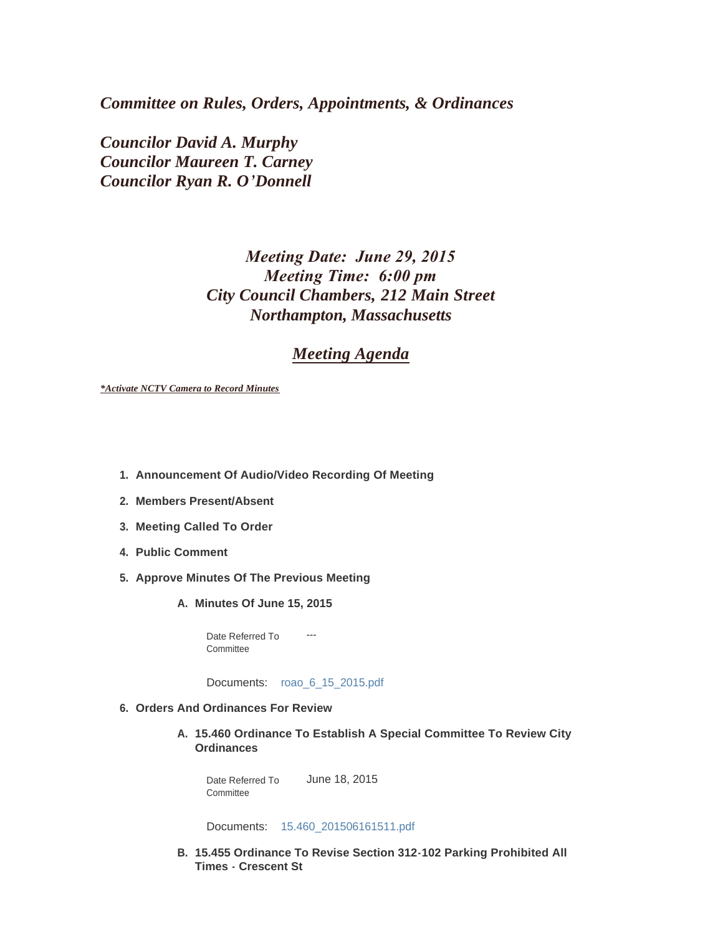*Committee on Rules, Orders, Appointments, & Ordinances*

*Councilor David A. Murphy Councilor Maureen T. Carney Councilor Ryan R. O'Donnell*

# *Meeting Date: June 29, 2015 Meeting Time: 6:00 pm City Council Chambers, 212 Main Street Northampton, Massachusetts*

## *Meeting Agenda*

*\*Activate NCTV Camera to Record Minutes*

- **Announcement Of Audio/Video Recording Of Meeting 1.**
- **Members Present/Absent 2.**
- **Meeting Called To Order 3.**
- **Public Comment 4.**
- **Approve Minutes Of The Previous Meeting 5.**
	- **Minutes Of June 15, 2015 A.**

Date Referred To ---**Committee** 

Documents: [roao\\_6\\_15\\_2015.pdf](http://northamptonma.gov/AgendaCenter/ViewFile/Item/1157?fileID=37836)

#### **Orders And Ordinances For Review 6.**

**15.460 Ordinance To Establish A Special Committee To Review City A. Ordinances**

Date Referred To June 18, 2015 **Committee** 

Documents: [15.460\\_201506161511.pdf](http://northamptonma.gov/AgendaCenter/ViewFile/Item/1141?fileID=37835)

**15.455 Ordinance To Revise Section 312-102 Parking Prohibited All B. Times - Crescent St**